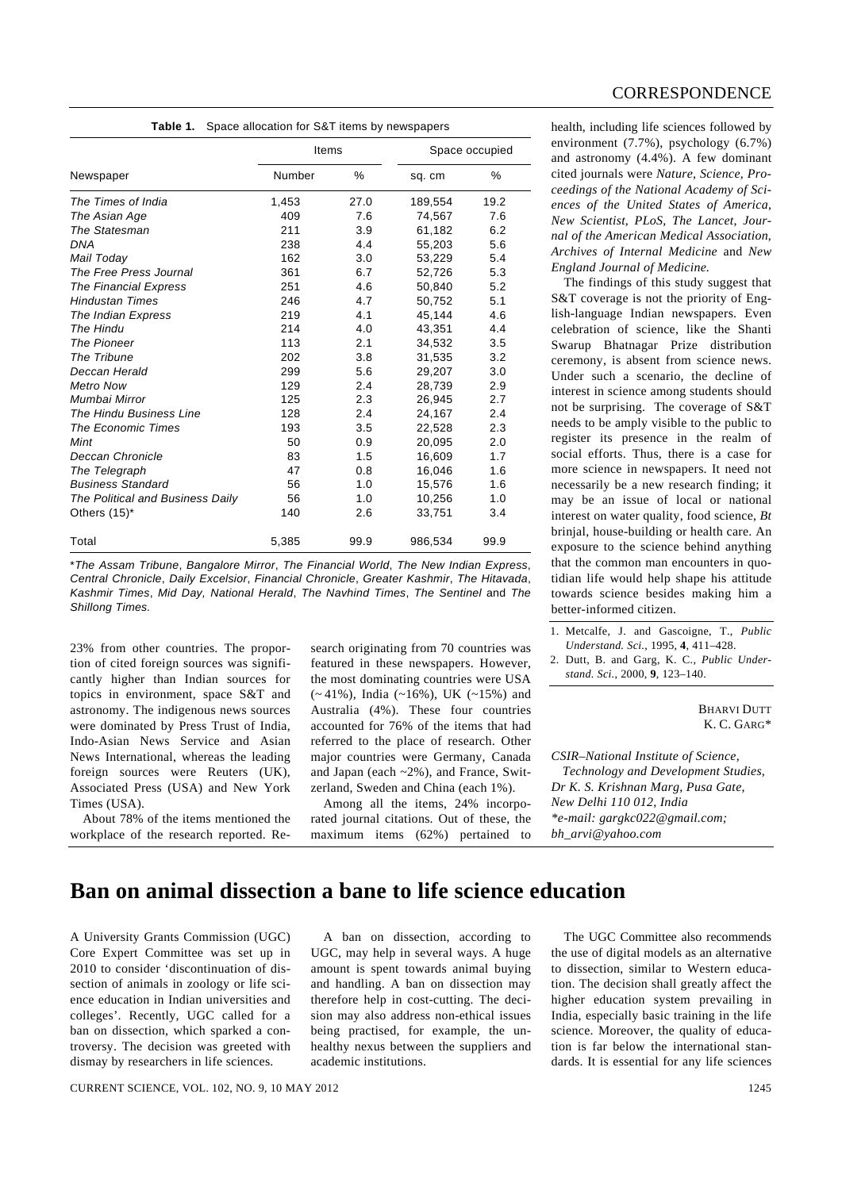| <b>CORRESPONDENCE</b> |  |
|-----------------------|--|

| <b>Table 1.</b> Space allocation for S&T items by newspapers |  |
|--------------------------------------------------------------|--|
|                                                              |  |

|                                  | Items  |      | Space occupied |      |
|----------------------------------|--------|------|----------------|------|
| Newspaper                        | Number | %    | sq. cm         | %    |
| The Times of India               | 1,453  | 27.0 | 189,554        | 19.2 |
| The Asian Age                    | 409    | 7.6  | 74,567         | 7.6  |
| The Statesman                    | 211    | 3.9  | 61,182         | 6.2  |
| DNA                              | 238    | 4.4  | 55,203         | 5.6  |
| Mail Today                       | 162    | 3.0  | 53,229         | 5.4  |
| The Free Press Journal           | 361    | 6.7  | 52,726         | 5.3  |
| The Financial Express            | 251    | 4.6  | 50.840         | 5.2  |
| <b>Hindustan Times</b>           | 246    | 4.7  | 50,752         | 5.1  |
| The Indian Express               | 219    | 4.1  | 45,144         | 4.6  |
| The Hindu                        | 214    | 4.0  | 43,351         | 4.4  |
| The Pioneer                      | 113    | 2.1  | 34.532         | 3.5  |
| The Tribune                      | 202    | 3.8  | 31.535         | 3.2  |
| Deccan Herald                    | 299    | 5.6  | 29,207         | 3.0  |
| <b>Metro Now</b>                 | 129    | 2.4  | 28,739         | 2.9  |
| Mumbai Mirror                    | 125    | 2.3  | 26,945         | 2.7  |
| The Hindu Business Line          | 128    | 2.4  | 24,167         | 2.4  |
| <b>The Economic Times</b>        | 193    | 3.5  | 22,528         | 2.3  |
| Mint                             | 50     | 0.9  | 20,095         | 2.0  |
| Deccan Chronicle                 | 83     | 1.5  | 16.609         | 1.7  |
| The Telegraph                    | 47     | 0.8  | 16,046         | 1.6  |
| <b>Business Standard</b>         | 56     | 1.0  | 15,576         | 1.6  |
| The Political and Business Daily | 56     | 1.0  | 10,256         | 1.0  |
| Others $(15)^*$                  | 140    | 2.6  | 33,751         | 3.4  |
| Total                            | 5,385  | 99.9 | 986,534        | 99.9 |

\**The Assam Tribune*, *Bangalore Mirror*, *The Financial World*, *The New Indian Express*, *Central Chronicle*, *Daily Excelsior*, *Financial Chronicle*, *Greater Kashmir*, *The Hitavada*, *Kashmir Times*, *Mid Day, National Herald*, *The Navhind Times*, *The Sentinel* and *The Shillong Times.* 

23% from other countries. The proportion of cited foreign sources was significantly higher than Indian sources for topics in environment, space S&T and astronomy. The indigenous news sources were dominated by Press Trust of India, Indo-Asian News Service and Asian News International, whereas the leading foreign sources were Reuters (UK), Associated Press (USA) and New York Times (USA).

 About 78% of the items mentioned the workplace of the research reported. Re-

search originating from 70 countries was featured in these newspapers. However, the most dominating countries were USA  $(-41\%)$ , India  $(-16\%)$ , UK  $(-15\%)$  and Australia (4%). These four countries accounted for 76% of the items that had referred to the place of research. Other major countries were Germany, Canada and Japan (each ~2%), and France, Switzerland, Sweden and China (each 1%).

 Among all the items, 24% incorporated journal citations. Out of these, the maximum items (62%) pertained to health, including life sciences followed by environment (7.7%), psychology (6.7%) and astronomy (4.4%). A few dominant cited journals were *Nature*, *Science*, *Proceedings of the National Academy of Sciences of the United States of America*, *New Scientist*, *PLoS*, *The Lancet*, *Journal of the American Medical Association*, *Archives of Internal Medicine* and *New England Journal of Medicine.* 

 The findings of this study suggest that S&T coverage is not the priority of English-language Indian newspapers. Even celebration of science, like the Shanti Swarup Bhatnagar Prize distribution ceremony, is absent from science news. Under such a scenario, the decline of interest in science among students should not be surprising. The coverage of S&T needs to be amply visible to the public to register its presence in the realm of social efforts. Thus, there is a case for more science in newspapers. It need not necessarily be a new research finding; it may be an issue of local or national interest on water quality, food science, *Bt* brinjal, house-building or health care. An exposure to the science behind anything that the common man encounters in quotidian life would help shape his attitude towards science besides making him a better-informed citizen.

1. Metcalfe, J. and Gascoigne, T., *Public Understand. Sci.*, 1995, **4**, 411–428.

2. Dutt, B. and Garg, K. C., *Public Understand. Sci.*, 2000, **9**, 123–140.

> **BHARVI DUTT** K. C. GARG\*

*CSIR–National Institute of Science, Technology and Development Studies, Dr K. S. Krishnan Marg, Pusa Gate, New Delhi 110 012, India \*e-mail: gargkc022@gmail.com; bh\_arvi@yahoo.com* 

## **Ban on animal dissection a bane to life science education**

A University Grants Commission (UGC) Core Expert Committee was set up in 2010 to consider 'discontinuation of dissection of animals in zoology or life science education in Indian universities and colleges'. Recently, UGC called for a ban on dissection, which sparked a controversy. The decision was greeted with dismay by researchers in life sciences.

 A ban on dissection, according to UGC, may help in several ways. A huge amount is spent towards animal buying and handling. A ban on dissection may therefore help in cost-cutting. The decision may also address non-ethical issues being practised, for example, the unhealthy nexus between the suppliers and academic institutions.

 The UGC Committee also recommends the use of digital models as an alternative to dissection, similar to Western education. The decision shall greatly affect the higher education system prevailing in India, especially basic training in the life science. Moreover, the quality of education is far below the international standards. It is essential for any life sciences